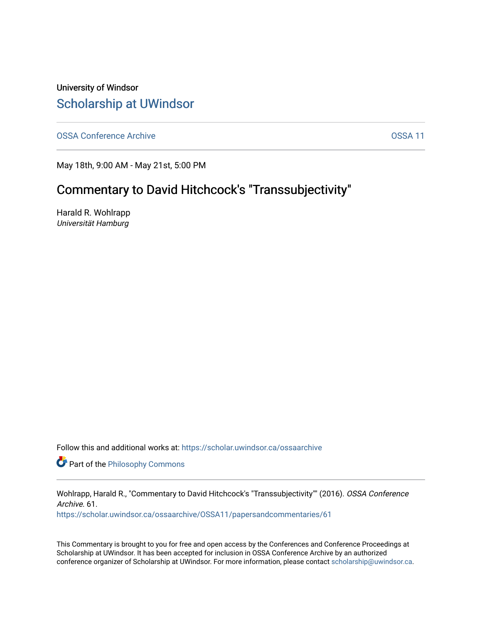### University of Windsor [Scholarship at UWindsor](https://scholar.uwindsor.ca/)

[OSSA Conference Archive](https://scholar.uwindsor.ca/ossaarchive) **OSSA 11** 

May 18th, 9:00 AM - May 21st, 5:00 PM

# Commentary to David Hitchcock's "Transsubjectivity"

Harald R. Wohlrapp Universität Hamburg

Follow this and additional works at: [https://scholar.uwindsor.ca/ossaarchive](https://scholar.uwindsor.ca/ossaarchive?utm_source=scholar.uwindsor.ca%2Fossaarchive%2FOSSA11%2Fpapersandcommentaries%2F61&utm_medium=PDF&utm_campaign=PDFCoverPages)

**Part of the Philosophy Commons** 

Wohlrapp, Harald R., "Commentary to David Hitchcock's "Transsubjectivity"" (2016). OSSA Conference Archive. 61.

[https://scholar.uwindsor.ca/ossaarchive/OSSA11/papersandcommentaries/61](https://scholar.uwindsor.ca/ossaarchive/OSSA11/papersandcommentaries/61?utm_source=scholar.uwindsor.ca%2Fossaarchive%2FOSSA11%2Fpapersandcommentaries%2F61&utm_medium=PDF&utm_campaign=PDFCoverPages) 

This Commentary is brought to you for free and open access by the Conferences and Conference Proceedings at Scholarship at UWindsor. It has been accepted for inclusion in OSSA Conference Archive by an authorized conference organizer of Scholarship at UWindsor. For more information, please contact [scholarship@uwindsor.ca.](mailto:scholarship@uwindsor.ca)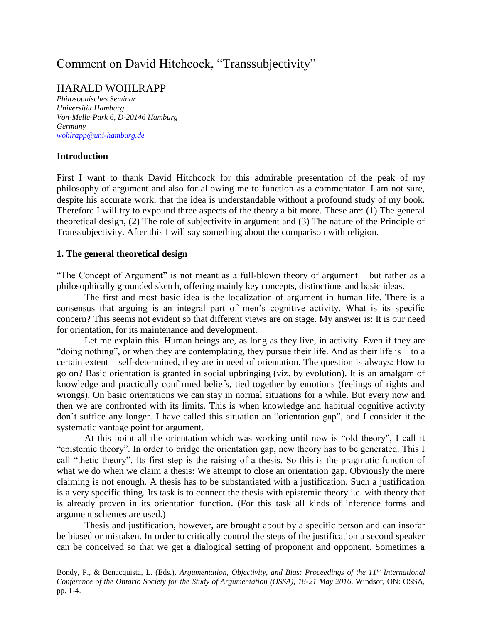## Comment on David Hitchcock, "Transsubjectivity"

### HARALD WOHLRAPP

*Philosophisches Seminar Universität Hamburg Von-Melle-Park 6, D-20146 Hamburg Germany [wohlrapp@uni-hamburg.de](mailto:wohlrapp@uni-hamburg.de)*

#### **Introduction**

First I want to thank David Hitchcock for this admirable presentation of the peak of my philosophy of argument and also for allowing me to function as a commentator. I am not sure, despite his accurate work, that the idea is understandable without a profound study of my book. Therefore I will try to expound three aspects of the theory a bit more. These are: (1) The general theoretical design, (2) The role of subjectivity in argument and (3) The nature of the Principle of Transsubjectivity. After this I will say something about the comparison with religion.

#### **1. The general theoretical design**

"The Concept of Argument" is not meant as a full-blown theory of argument – but rather as a philosophically grounded sketch, offering mainly key concepts, distinctions and basic ideas.

The first and most basic idea is the localization of argument in human life. There is a consensus that arguing is an integral part of men's cognitive activity. What is its specific concern? This seems not evident so that different views are on stage. My answer is: It is our need for orientation, for its maintenance and development.

Let me explain this. Human beings are, as long as they live, in activity. Even if they are "doing nothing", or when they are contemplating, they pursue their life. And as their life is – to a certain extent – self-determined, they are in need of orientation. The question is always: How to go on? Basic orientation is granted in social upbringing (viz. by evolution). It is an amalgam of knowledge and practically confirmed beliefs, tied together by emotions (feelings of rights and wrongs). On basic orientations we can stay in normal situations for a while. But every now and then we are confronted with its limits. This is when knowledge and habitual cognitive activity don't suffice any longer. I have called this situation an "orientation gap", and I consider it the systematic vantage point for argument.

At this point all the orientation which was working until now is "old theory", I call it "epistemic theory". In order to bridge the orientation gap, new theory has to be generated. This I call "thetic theory". Its first step is the raising of a thesis. So this is the pragmatic function of what we do when we claim a thesis: We attempt to close an orientation gap. Obviously the mere claiming is not enough. A thesis has to be substantiated with a justification. Such a justification is a very specific thing. Its task is to connect the thesis with epistemic theory i.e. with theory that is already proven in its orientation function. (For this task all kinds of inference forms and argument schemes are used.)

Thesis and justification, however, are brought about by a specific person and can insofar be biased or mistaken. In order to critically control the steps of the justification a second speaker can be conceived so that we get a dialogical setting of proponent and opponent. Sometimes a

Bondy, P., & Benacquista, L. (Eds.). *Argumentation, Objectivity, and Bias: Proceedings of the 11th International Conference of the Ontario Society for the Study of Argumentation (OSSA), 18-21 May 2016*. Windsor, ON: OSSA, pp. 1-4.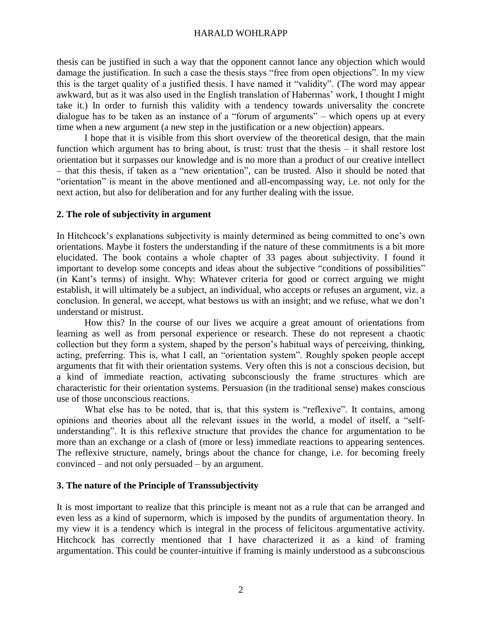#### HARALD WOHLRAPP

thesis can be justified in such a way that the opponent cannot lance any objection which would damage the justification. In such a case the thesis stays "free from open objections". In my view this is the target quality of a justified thesis. I have named it "validity". (The word may appear awkward, but as it was also used in the English translation of Habermas' work, I thought I might take it.) In order to furnish this validity with a tendency towards universality the concrete dialogue has to be taken as an instance of a "forum of arguments" – which opens up at every time when a new argument (a new step in the justification or a new objection) appears.

I hope that it is visible from this short overview of the theoretical design, that the main function which argument has to bring about, is trust: trust that the thesis – it shall restore lost orientation but it surpasses our knowledge and is no more than a product of our creative intellect – that this thesis, if taken as a "new orientation", can be trusted. Also it should be noted that "orientation" is meant in the above mentioned and all-encompassing way, i.e. not only for the next action, but also for deliberation and for any further dealing with the issue.

#### **2. The role of subjectivity in argument**

In Hitchcock's explanations subjectivity is mainly determined as being committed to one's own orientations. Maybe it fosters the understanding if the nature of these commitments is a bit more elucidated. The book contains a whole chapter of 33 pages about subjectivity. I found it important to develop some concepts and ideas about the subjective "conditions of possibilities" (in Kant's terms) of insight. Why: Whatever criteria for good or correct arguing we might establish, it will ultimately be a subject, an individual, who accepts or refuses an argument, viz. a conclusion. In general, we accept, what bestows us with an insight; and we refuse, what we don't understand or mistrust.

How this? In the course of our lives we acquire a great amount of orientations from learning as well as from personal experience or research. These do not represent a chaotic collection but they form a system, shaped by the person's habitual ways of perceiving, thinking, acting, preferring. This is, what I call, an "orientation system". Roughly spoken people accept arguments that fit with their orientation systems. Very often this is not a conscious decision, but a kind of immediate reaction, activating subconsciously the frame structures which are characteristic for their orientation systems. Persuasion (in the traditional sense) makes conscious use of those unconscious reactions.

What else has to be noted, that is, that this system is "reflexive". It contains, among opinions and theories about all the relevant issues in the world, a model of itself, a "selfunderstanding". It is this reflexive structure that provides the chance for argumentation to be more than an exchange or a clash of (more or less) immediate reactions to appearing sentences. The reflexive structure, namely, brings about the chance for change, i.e. for becoming freely convinced – and not only persuaded – by an argument.

#### **3. The nature of the Principle of Transsubjectivity**

It is most important to realize that this principle is meant not as a rule that can be arranged and even less as a kind of supernorm, which is imposed by the pundits of argumentation theory. In my view it is a tendency which is integral in the process of felicitous argumentative activity. Hitchcock has correctly mentioned that I have characterized it as a kind of framing argumentation. This could be counter-intuitive if framing is mainly understood as a subconscious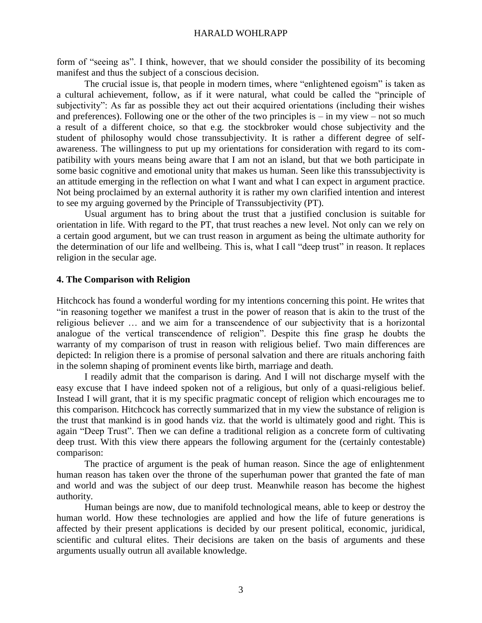#### HARALD WOHLRAPP

form of "seeing as". I think, however, that we should consider the possibility of its becoming manifest and thus the subject of a conscious decision.

The crucial issue is, that people in modern times, where "enlightened egoism" is taken as a cultural achievement, follow, as if it were natural, what could be called the "principle of subjectivity": As far as possible they act out their acquired orientations (including their wishes and preferences). Following one or the other of the two principles is  $-$  in my view  $-$  not so much a result of a different choice, so that e.g. the stockbroker would chose subjectivity and the student of philosophy would chose transsubjectivity. It is rather a different degree of selfawareness. The willingness to put up my orientations for consideration with regard to its compatibility with yours means being aware that I am not an island, but that we both participate in some basic cognitive and emotional unity that makes us human. Seen like this transsubjectivity is an attitude emerging in the reflection on what I want and what I can expect in argument practice. Not being proclaimed by an external authority it is rather my own clarified intention and interest to see my arguing governed by the Principle of Transsubjectivity (PT).

Usual argument has to bring about the trust that a justified conclusion is suitable for orientation in life. With regard to the PT, that trust reaches a new level. Not only can we rely on a certain good argument, but we can trust reason in argument as being the ultimate authority for the determination of our life and wellbeing. This is, what I call "deep trust" in reason. It replaces religion in the secular age.

#### **4. The Comparison with Religion**

Hitchcock has found a wonderful wording for my intentions concerning this point. He writes that "in reasoning together we manifest a trust in the power of reason that is akin to the trust of the religious believer … and we aim for a transcendence of our subjectivity that is a horizontal analogue of the vertical transcendence of religion". Despite this fine grasp he doubts the warranty of my comparison of trust in reason with religious belief. Two main differences are depicted: In religion there is a promise of personal salvation and there are rituals anchoring faith in the solemn shaping of prominent events like birth, marriage and death.

I readily admit that the comparison is daring. And I will not discharge myself with the easy excuse that I have indeed spoken not of a religious, but only of a quasi-religious belief. Instead I will grant, that it is my specific pragmatic concept of religion which encourages me to this comparison. Hitchcock has correctly summarized that in my view the substance of religion is the trust that mankind is in good hands viz. that the world is ultimately good and right. This is again "Deep Trust". Then we can define a traditional religion as a concrete form of cultivating deep trust. With this view there appears the following argument for the (certainly contestable) comparison:

The practice of argument is the peak of human reason. Since the age of enlightenment human reason has taken over the throne of the superhuman power that granted the fate of man and world and was the subject of our deep trust. Meanwhile reason has become the highest authority.

Human beings are now, due to manifold technological means, able to keep or destroy the human world. How these technologies are applied and how the life of future generations is affected by their present applications is decided by our present political, economic, juridical, scientific and cultural elites. Their decisions are taken on the basis of arguments and these arguments usually outrun all available knowledge.